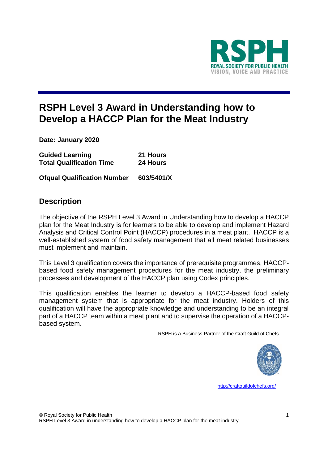

# **RSPH Level 3 Award in Understanding how to Develop a HACCP Plan for the Meat Industry**

**Date: January 2020**

| <b>Guided Learning</b>          | 21 Hours |
|---------------------------------|----------|
| <b>Total Qualification Time</b> | 24 Hours |

**Ofqual Qualification Number 603/5401/X**

### **Description**

The objective of the RSPH Level 3 Award in Understanding how to develop a HACCP plan for the Meat Industry is for learners to be able to develop and implement Hazard Analysis and Critical Control Point (HACCP) procedures in a meat plant. HACCP is a well-established system of food safety management that all meat related businesses must implement and maintain.

This Level 3 qualification covers the importance of prerequisite programmes, HACCPbased food safety management procedures for the meat industry, the preliminary processes and development of the HACCP plan using Codex principles.

This qualification enables the learner to develop a HACCP-based food safety management system that is appropriate for the meat industry. Holders of this qualification will have the appropriate knowledge and understanding to be an integral part of a HACCP team within a meat plant and to supervise the operation of a HACCPbased system.

RSPH is a Business Partner of the Craft Guild of Chefs.



<http://craftguildofchefs.org/>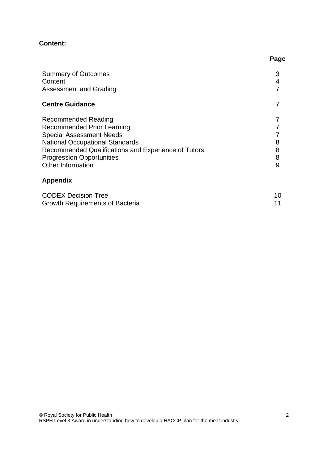### **Content:**

Growth Requirements of Bacteria

| <b>Summary of Outcomes</b><br>Content<br>Assessment and Grading                                                                                                                                                                                              | 3                |
|--------------------------------------------------------------------------------------------------------------------------------------------------------------------------------------------------------------------------------------------------------------|------------------|
| <b>Centre Guidance</b>                                                                                                                                                                                                                                       |                  |
| Recommended Reading<br><b>Recommended Prior Learning</b><br><b>Special Assessment Needs</b><br><b>National Occupational Standards</b><br>Recommended Qualifications and Experience of Tutors<br><b>Progression Opportunities</b><br><b>Other Information</b> | 8<br>8<br>8<br>9 |
| <b>Appendix</b>                                                                                                                                                                                                                                              |                  |
| <b>CODEX Decision Tree</b><br>Growth Requirements of Bacteria                                                                                                                                                                                                | 10<br>11         |

**Page**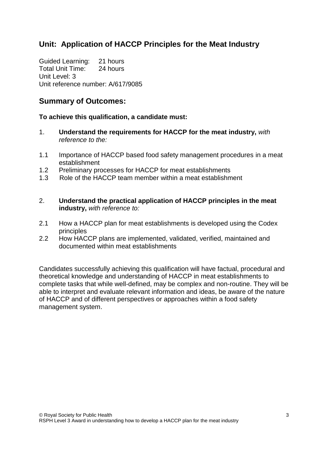# **Unit: Application of HACCP Principles for the Meat Industry**

Guided Learning: 21 hours Total Unit Time: 24 hours Unit Level: 3 Unit reference number: A/617/9085

### **Summary of Outcomes:**

#### **To achieve this qualification, a candidate must:**

- 1. **Understand the requirements for HACCP for the meat industry,** *with reference to the:*
- 1.1 Importance of HACCP based food safety management procedures in a meat establishment
- 1.2 Preliminary processes for HACCP for meat establishments
- 1.3 Role of the HACCP team member within a meat establishment
- 2. **Understand the practical application of HACCP principles in the meat industry,** *with reference to:*
- 2.1 How a HACCP plan for meat establishments is developed using the Codex principles
- 2.2 How HACCP plans are implemented, validated, verified, maintained and documented within meat establishments

Candidates successfully achieving this qualification will have factual, procedural and theoretical knowledge and understanding of HACCP in meat establishments to complete tasks that while well-defined, may be complex and non-routine. They will be able to interpret and evaluate relevant information and ideas, be aware of the nature of HACCP and of different perspectives or approaches within a food safety management system.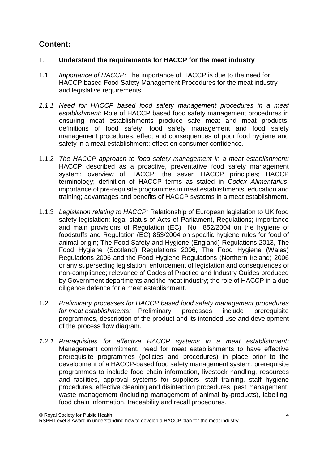# **Content:**

#### 1. **Understand the requirements for HACCP for the meat industry**

- 1.1 *Importance of HACCP:* The importance of HACCP is due to the need for HACCP based Food Safety Management Procedures for the meat industry and legislative requirements.
- *1.1.1 Need for HACCP based food safety management procedures in a meat establishment:* Role of HACCP based food safety management procedures in ensuring meat establishments produce safe meat and meat products, definitions of food safety, food safety management and food safety management procedures; effect and consequences of poor food hygiene and safety in a meat establishment; effect on consumer confidence.
- 1.1.2 *The HACCP approach to food safety management in a meat establishment:* HACCP described as a proactive, preventative food safety management system; overview of HACCP; the seven HACCP principles; HACCP terminology; definition of HACCP terms as stated in *Codex Alimentarius*; importance of pre-requisite programmes in meat establishments, education and training; advantages and benefits of HACCP systems in a meat establishment.
- 1.1.3 *Legislation relating to HACCP:* Relationship of European legislation to UK food safety legislation; legal status of Acts of Parliament, Regulations; importance and main provisions of Regulation (EC) No 852/2004 on the hygiene of foodstuffs and Regulation (EC) 853/2004 on specific hygiene rules for food of animal origin; The Food Safety and Hygiene (England) Regulations 2013, The Food Hygiene (Scotland) Regulations 2006, The Food Hygiene (Wales) Regulations 2006 and the Food Hygiene Regulations (Northern Ireland) 2006 or any superseding legislation; enforcement of legislation and consequences of non-compliance; relevance of Codes of Practice and Industry Guides produced by Government departments and the meat industry; the role of HACCP in a due diligence defence for a meat establishment.
- 1.2 *Preliminary processes for HACCP based food safety management procedures for meat establishments:* Preliminary processes include prerequisite programmes, description of the product and its intended use and development of the process flow diagram.
- *1.2.1 Prerequisites for effective HACCP systems in a meat establishment:* Management commitment, need for meat establishments to have effective prerequisite programmes (policies and procedures) in place prior to the development of a HACCP-based food safety management system; prerequisite programmes to include food chain information, livestock handling, resources and facilities, approval systems for suppliers, staff training, staff hygiene procedures, effective cleaning and disinfection procedures, pest management, waste management (including management of animal by-products), labelling, food chain information, traceability and recall procedures.

RSPH Level 3 Award in understanding how to develop a HACCP plan for the meat industry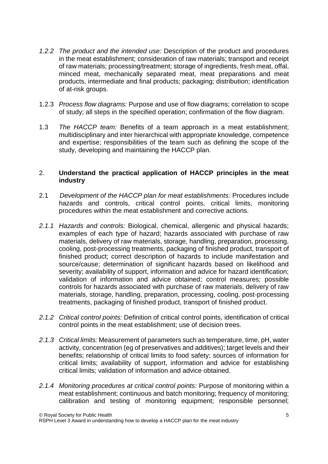- *1.2.2 The product and the intended use:* Description of the product and procedures in the meat establishment; consideration of raw materials; transport and receipt of raw materials; processing/treatment; storage of ingredients, fresh meat, offal, minced meat, mechanically separated meat, meat preparations and meat products, intermediate and final products; packaging; distribution; identification of at-risk groups.
- 1.2.3 *Process flow diagrams:* Purpose and use of flow diagrams; correlation to scope of study; all steps in the specified operation; confirmation of the flow diagram.
- 1.3 *The HACCP team:* Benefits of a team approach in a meat establishment; multidisciplinary and inter hierarchical with appropriate knowledge, competence and expertise; responsibilities of the team such as defining the scope of the study, developing and maintaining the HACCP plan.

#### 2. **Understand the practical application of HACCP principles in the meat industry**

- 2.1 *Development of the HACCP plan for meat establishments:* Procedures include hazards and controls, critical control points, critical limits, monitoring procedures within the meat establishment and corrective actions.
- *2.1.1 Hazards and controls:* Biological, chemical, allergenic and physical hazards; examples of each type of hazard; hazards associated with purchase of raw materials, delivery of raw materials, storage, handling, preparation, processing, cooling, post-processing treatments, packaging of finished product, transport of finished product; correct description of hazards to include manifestation and source/cause; determination of significant hazards based on likelihood and severity; availability of support, information and advice for hazard identification; validation of information and advice obtained; control measures; possible controls for hazards associated with purchase of raw materials, delivery of raw materials, storage, handling, preparation, processing, cooling, post-processing treatments, packaging of finished product, transport of finished product.
- *2.1.2 Critical control points:* Definition of critical control points, identification of critical control points in the meat establishment; use of decision trees.
- *2.1.3 Critical limits:* Measurement of parameters such as temperature, time, pH, water activity, concentration (eg of preservatives and additives); target levels and their benefits; relationship of critical limits to food safety; sources of information for critical limits; availability of support, information and advice for establishing critical limits; validation of information and advice obtained.
- *2.1.4 Monitoring procedures at critical control points:* Purpose of monitoring within a meat establishment; continuous and batch monitoring; frequency of monitoring; calibration and testing of monitoring equipment; responsible personnel;

RSPH Level 3 Award in understanding how to develop a HACCP plan for the meat industry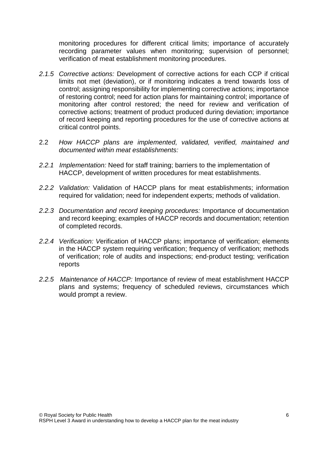monitoring procedures for different critical limits; importance of accurately recording parameter values when monitoring; supervision of personnel; verification of meat establishment monitoring procedures.

- *2.1.5 Corrective actions:* Development of corrective actions for each CCP if critical limits not met (deviation), or if monitoring indicates a trend towards loss of control; assigning responsibility for implementing corrective actions; importance of restoring control; need for action plans for maintaining control; importance of monitoring after control restored; the need for review and verification of corrective actions; treatment of product produced during deviation; importance of record keeping and reporting procedures for the use of corrective actions at critical control points.
- 2.2 *How HACCP plans are implemented, validated, verified, maintained and documented within meat establishments:*
- *2.2.1 Implementation:* Need for staff training; barriers to the implementation of HACCP, development of written procedures for meat establishments.
- *2.2.2 Validation:* Validation of HACCP plans for meat establishments; information required for validation; need for independent experts; methods of validation.
- *2.2.3 Documentation and record keeping procedures:* Importance of documentation and record keeping; examples of HACCP records and documentation; retention of completed records.
- *2.2.4 Verification: V*erification of HACCP plans; importance of verification; elements in the HACCP system requiring verification; frequency of verification; methods of verification; role of audits and inspections; end-product testing; verification reports
- *2.2.5 Maintenance of HACCP:* Importance of review of meat establishment HACCP plans and systems; frequency of scheduled reviews, circumstances which would prompt a review.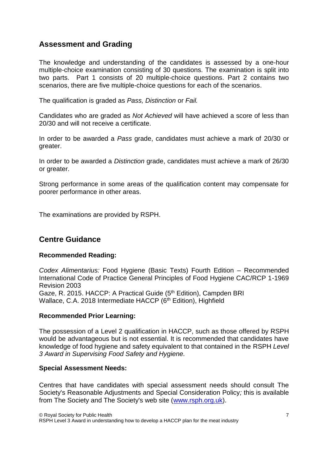## **Assessment and Grading**

The knowledge and understanding of the candidates is assessed by a one-hour multiple-choice examination consisting of 30 questions. The examination is split into two parts. Part 1 consists of 20 multiple-choice questions. Part 2 contains two scenarios, there are five multiple-choice questions for each of the scenarios.

The qualification is graded as *Pass, Distinction* or *Fail.*

Candidates who are graded as *Not Achieved* will have achieved a score of less than 20/30 and will not receive a certificate.

In order to be awarded a *Pass* grade, candidates must achieve a mark of 20/30 or greater.

In order to be awarded a *Distinction* grade, candidates must achieve a mark of 26/30 or greater.

Strong performance in some areas of the qualification content may compensate for poorer performance in other areas.

The examinations are provided by RSPH.

### **Centre Guidance**

#### **Recommended Reading:**

*Codex Alimentarius:* Food Hygiene (Basic Texts) Fourth Edition – Recommended International Code of Practice General Principles of Food Hygiene CAC/RCP 1-1969 Revision 2003 Gaze, R. 2015. HACCP: A Practical Guide (5<sup>th</sup> Edition), Campden BRI Wallace, C.A. 2018 Intermediate HACCP (6<sup>th</sup> Edition), Highfield

#### **Recommended Prior Learning:**

The possession of a Level 2 qualification in HACCP, such as those offered by RSPH would be advantageous but is not essential. It is recommended that candidates have knowledge of food hygiene and safety equivalent to that contained in the RSPH *Level 3 Award in Supervising Food Safety and Hygiene.*

#### **Special Assessment Needs:**

Centres that have candidates with special assessment needs should consult The Society's Reasonable Adjustments and Special Consideration Policy*;* this is available from The Society and The Society's web site [\(www.rsph.org.uk\)](http://www.rsph.org.uk/).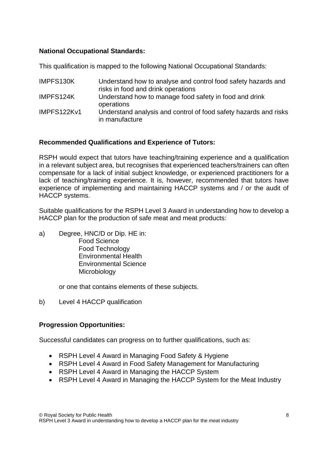#### **National Occupational Standards:**

This qualification is mapped to the following National Occupational Standards:

| IMPFS130K   | Understand how to analyse and control food safety hazards and<br>risks in food and drink operations |
|-------------|-----------------------------------------------------------------------------------------------------|
| IMPFS124K   | Understand how to manage food safety in food and drink<br>operations                                |
| IMPFS122Kv1 | Understand analysis and control of food safety hazards and risks<br>in manufacture                  |

### **Recommended Qualifications and Experience of Tutors:**

RSPH would expect that tutors have teaching/training experience and a qualification in a relevant subject area, but recognises that experienced teachers/trainers can often compensate for a lack of initial subject knowledge, or experienced practitioners for a lack of teaching/training experience. It is, however, recommended that tutors have experience of implementing and maintaining HACCP systems and / or the audit of HACCP systems.

Suitable qualifications for the RSPH Level 3 Award in understanding how to develop a HACCP plan for the production of safe meat and meat products:

a) Degree, HNC/D or Dip. HE in: Food Science Food Technology Environmental Health Environmental Science **Microbiology** 

or one that contains elements of these subjects.

b) Level 4 HACCP qualification

#### **Progression Opportunities:**

Successful candidates can progress on to further qualifications, such as:

- RSPH Level 4 Award in Managing Food Safety & Hygiene
- RSPH Level 4 Award in Food Safety Management for Manufacturing
- RSPH Level 4 Award in Managing the HACCP System
- RSPH Level 4 Award in Managing the HACCP System for the Meat Industry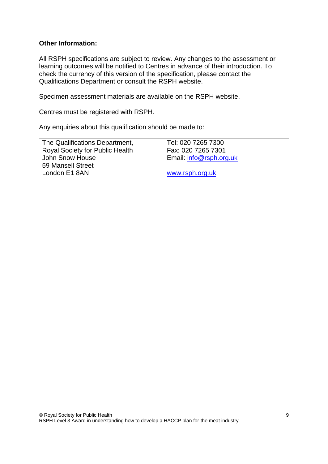#### **Other Information:**

All RSPH specifications are subject to review. Any changes to the assessment or learning outcomes will be notified to Centres in advance of their introduction. To check the currency of this version of the specification, please contact the Qualifications Department or consult the RSPH website.

Specimen assessment materials are available on the RSPH website.

Centres must be registered with RSPH.

Any enquiries about this qualification should be made to:

| The Qualifications Department,         | Tel: 020 7265 7300      |
|----------------------------------------|-------------------------|
| <b>Royal Society for Public Health</b> | Fax: 020 7265 7301      |
| John Snow House                        | Email: info@rsph.org.uk |
| 59 Mansell Street                      |                         |
| London E1 8AN                          | www.rsph.org.uk         |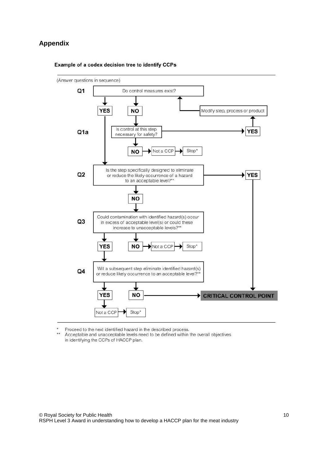#### **Appendix**



Example of a codex decision tree to identify CCPs

Proceed to the next identified hazard in the described process.

 $\star\star$ Acceptable and unacceptable levels need to be defined within the overall objectives in identifying the CCPs of HACCP plan.